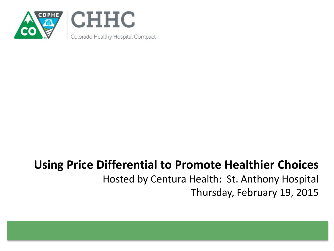

### **Using Price Differential to Promote Healthier Choices** Hosted by Centura Health: St. Anthony Hospital Thursday, February 19, 2015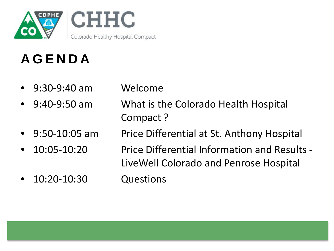

### **AGENDA**

- 9:30-9:40 am Welcome
	-
- 9:40-9:50 am What is the Colorado Health Hospital Compact ?
- 
- 
- 10:20-10:30 Questions
- 9:50-10:05 am Price Differential at St. Anthony Hospital
	- 10:05-10:20 Price Differential Information and Results LiveWell Colorado and Penrose Hospital
		-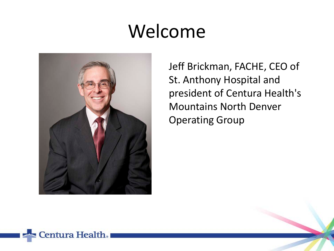# Welcome



Jeff Brickman, FACHE, CEO of St. Anthony Hospital and president of Centura Health's Mountains North Denver Operating Group

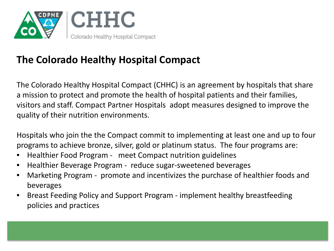

### **The Colorado Healthy Hospital Compact**

The Colorado Healthy Hospital Compact (CHHC) is an agreement by hospitals that share a mission to protect and promote the health of hospital patients and their families, visitors and staff. Compact Partner Hospitals adopt measures designed to improve the quality of their nutrition environments.

Hospitals who join the the Compact commit to implementing at least one and up to four programs to achieve bronze, silver, gold or platinum status. The four programs are:

- Healthier Food Program meet Compact nutrition guidelines
- Healthier Beverage Program reduce sugar-sweetened beverages
- Marketing Program promote and incentivizes the purchase of healthier foods and beverages
- Breast Feeding Policy and Support Program implement healthy breastfeeding policies and practices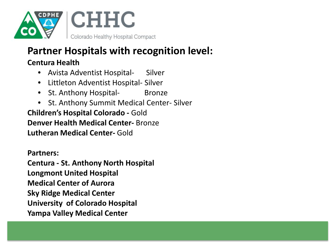

### **Partner Hospitals with recognition level:**

#### **Centura Health**

- Avista Adventist Hospital- Silver
- Littleton Adventist Hospital- Silver
- St. Anthony Hospital- Bronze
- St. Anthony Summit Medical Center- Silver

**Children's Hospital Colorado -** Gold **Denver Health Medical Center-** Bronze **Lutheran Medical Center-** Gold

#### **Partners:**

**Centura - St. Anthony North Hospital Longmont United Hospital Medical Center of Aurora Sky Ridge Medical Center University of Colorado Hospital Yampa Valley Medical Center**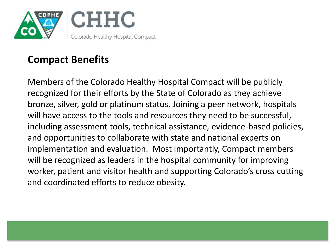

### **Compact Benefits**

Members of the Colorado Healthy Hospital Compact will be publicly recognized for their efforts by the State of Colorado as they achieve bronze, silver, gold or platinum status. Joining a peer network, hospitals will have access to the tools and resources they need to be successful, including assessment tools, technical assistance, evidence-based policies, and opportunities to collaborate with state and national experts on implementation and evaluation. Most importantly, Compact members will be recognized as leaders in the hospital community for improving worker, patient and visitor health and supporting Colorado's cross cutting and coordinated efforts to reduce obesity.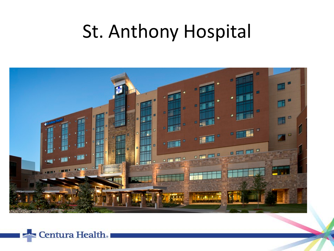# St. Anthony Hospital



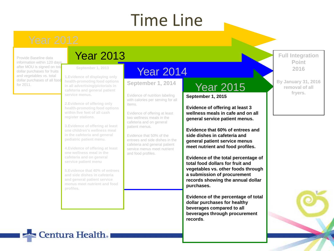### Time Line

Provide Baseline data information within 120 days after MOU is signed on total dollar purchases for fruits and vegetables vs. total dollar purchases of all food

### Year 2013

**September 1, 2013**

dollar purcriases of all 1000 health-promoting food options **September 1, 2014 1.Evidence of displaying only health-promoting food options in all advertising/pictorials in cafeteria and general patient service menus.**

> **2.Evidence of offering only health-promoting food options within five feet of all cash register stations.**

**3.Evidence of offering at least one children's wellness meal in the cafeteria and general pediatric patient menu.**

**4.Evidence of offering at least one wellness meal in the cafeteria and on general service patient menu**

**5.Evidence that 40% of entrees and side dishes in cafeteria and general patient service menus meet nutrient and food profiles.**

### Year 2014

Evidence of nutrition labeling with calories per serving for all items.

Evidence of offering at least two wellness meals in the cafeteria and on general patient menus.

Evidence that 50% of the entrees and side dishes in the cafeteria and general patient service menus meet nutrient and food profiles.

### Year 2015

**September 1, 2015**

**Evidence of offering at least 3 wellness meals in cafe and on all general service patient menus.**

**Evidence that 60% of entrees and side dishes in cafeteria and general patient service menus meet nutrient and food profiles.**

**Evidence of the total percentage of total food dollars for fruit and vegetables vs. other foods through a submission of procurement records showing the annual dollar purchases.**

**Evidence of the percentage of total dollar purchases for healthy beverages compared to all beverages through procurement records**.

**Full Integration Point 2016**

**By January 31, 2016 removal of all fryers.**



Centura Health.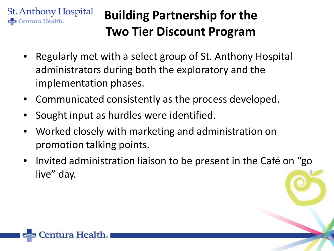

### **Building Partnership for the Two Tier Discount Program**

- Regularly met with a select group of St. Anthony Hospital administrators during both the exploratory and the implementation phases.
- Communicated consistently as the process developed.
- Sought input as hurdles were identified.
- Worked closely with marketing and administration on promotion talking points.
- Invited administration liaison to be present in the Café on "go live" day.

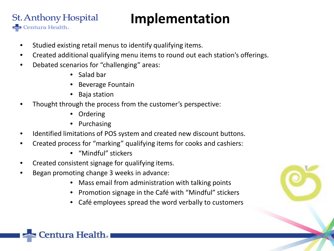#### **St. Anthony Hospital Implementation**

- Studied existing retail menus to identify qualifying items.
- Created additional qualifying menu items to round out each station's offerings.
- Debated scenarios for "challenging" areas:

Centura Health.

- Salad bar
- Beverage Fountain
- Baja station
- Thought through the process from the customer's perspective:
	- Ordering
	- Purchasing
- Identified limitations of POS system and created new discount buttons.
- Created process for "marking" qualifying items for cooks and cashiers:
	- "Mindful" stickers
- Created consistent signage for qualifying items.
- Began promoting change 3 weeks in advance:
	- Mass email from administration with talking points
	- Promotion signage in the Café with "Mindful" stickers
	- Café employees spread the word verbally to customers



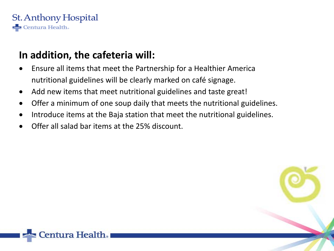

### **In addition, the cafeteria will:**

entura Health.

- Ensure all items that meet the Partnership for a Healthier America nutritional guidelines will be clearly marked on café signage.
- Add new items that meet nutritional guidelines and taste great!
- Offer a minimum of one soup daily that meets the nutritional guidelines.
- Introduce items at the Baja station that meet the nutritional guidelines.
- Offer all salad bar items at the 25% discount.

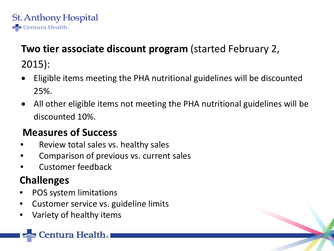

### **Two tier associate discount program** (started February 2, 2015):

- Eligible items meeting the PHA nutritional guidelines will be discounted 25%.
- All other eligible items not meeting the PHA nutritional guidelines will be discounted 10%.

### **Measures of Success**

- Review total sales vs. healthy sales
- Comparison of previous vs. current sales
- Customer feedback

### **Challenges**

- POS system limitations
- Customer service vs. guideline limits
- Variety of healthy items

entura Health.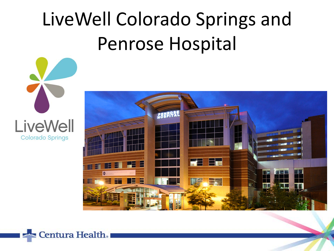# LiveWell Colorado Springs and Penrose Hospital





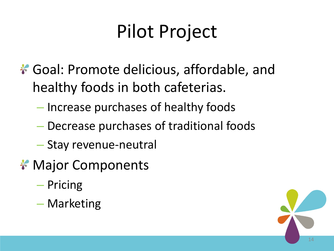# Pilot Project

- \* Goal: Promote delicious, affordable, and healthy foods in both cafeterias.
	- Increase purchases of healthy foods
	- Decrease purchases of traditional foods
	- Stay revenue-neutral
- **\* Major Components** 
	- Pricing
	- Marketing

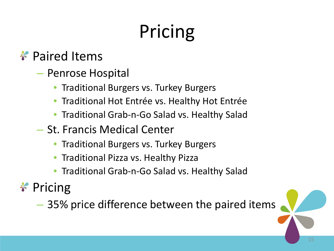# Pricing

### **Paired Items**

- Penrose Hospital
	- Traditional Burgers vs. Turkey Burgers
	- Traditional Hot Entrée vs. Healthy Hot Entrée
	- Traditional Grab-n-Go Salad vs. Healthy Salad
- St. Francis Medical Center
	- Traditional Burgers vs. Turkey Burgers
	- Traditional Pizza vs. Healthy Pizza
	- Traditional Grab-n-Go Salad vs. Healthy Salad

### $*$  Pricing

– 35% price difference between the paired items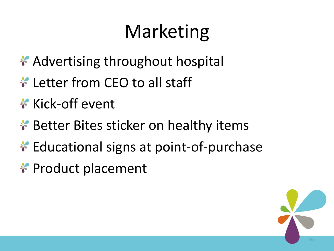# Marketing

- \* Advertising throughout hospital
- **Letter from CEO to all staff**
- **\*** Kick-off event
- \* Better Bites sticker on healthy items
- **\*** Educational signs at point-of-purchase
- \* Product placement

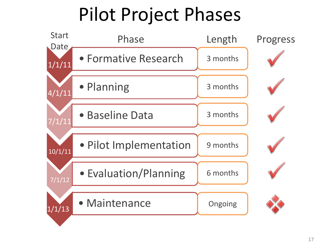# Pilot Project Phases

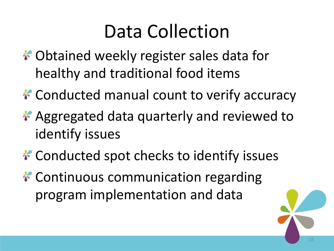# Data Collection

- \* Obtained weekly register sales data for healthy and traditional food items
- **\* Conducted manual count to verify accuracy**
- \* Aggregated data quarterly and reviewed to identify issues
- **\*** Conducted spot checks to identify issues
- **\* Continuous communication regarding** program implementation and data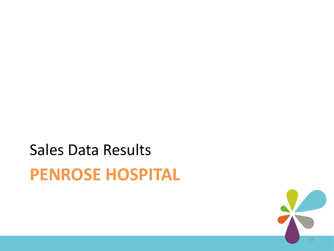# **PENROSE HOSPITAL** Sales Data Results

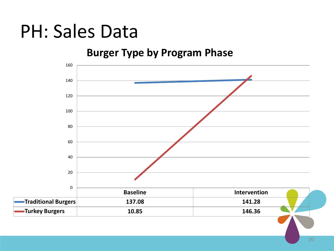### PH: Sales Data

#### **Burger Type by Program Phase**

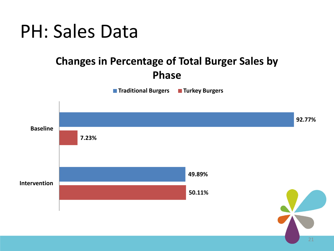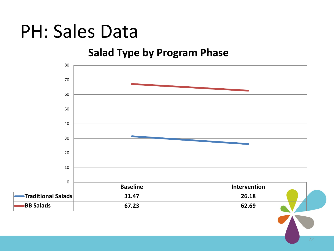### PH: Sales Data

#### **Salad Type by Program Phase**

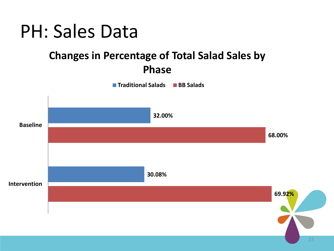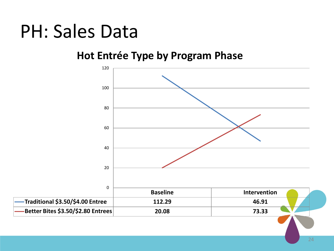### PH: Sales Data

### **Hot Entrée Type by Program Phase**

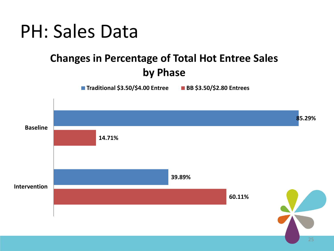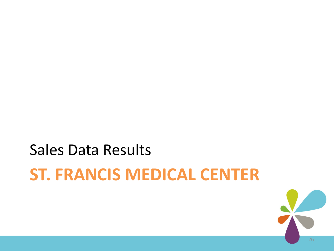# **ST. FRANCIS MEDICAL CENTER** Sales Data Results

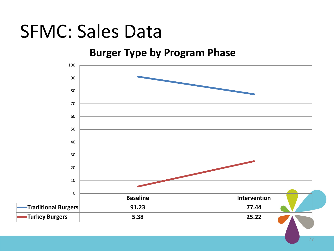### SFMC: Sales Data

#### **Burger Type by Program Phase**

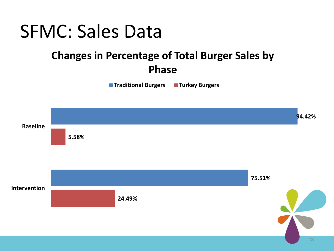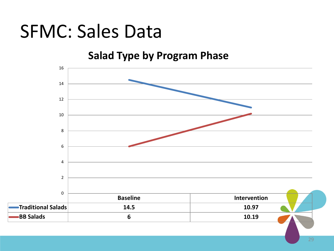### SFMC: Sales Data

#### **Salad Type by Program Phase**

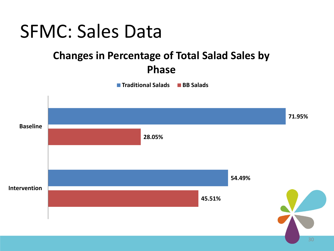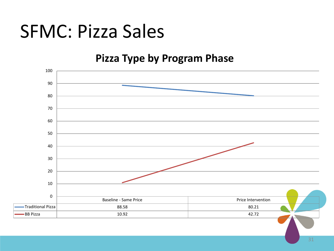### SFMC: Pizza Sales

#### **Pizza Type by Program Phase**

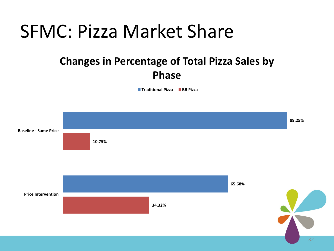### SFMC: Pizza Market Share

### **Changes in Percentage of Total Pizza Sales by Phase**

**Traditional Pizza BB Pizza**

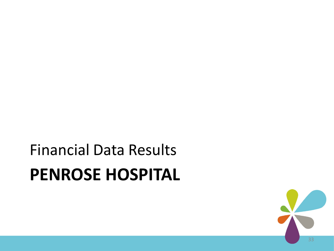# **PENROSE HOSPITAL** Financial Data Results

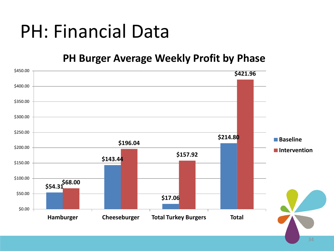# PH: Financial Data

#### **PH Burger Average Weekly Profit by Phase**

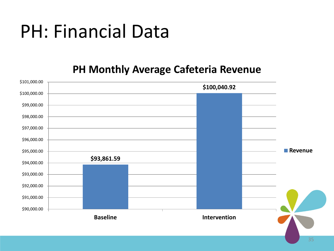# PH: Financial Data

#### **PH Monthly Average Cafeteria Revenue**

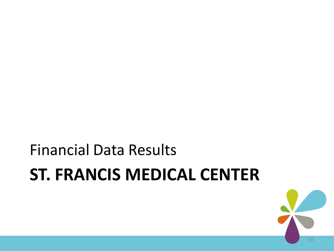# **ST. FRANCIS MEDICAL CENTER** Financial Data Results

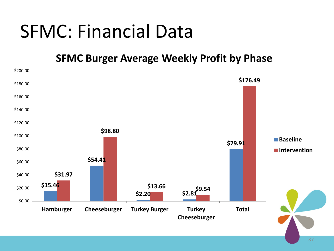# SFMC: Financial Data

#### **SFMC Burger Average Weekly Profit by Phase**

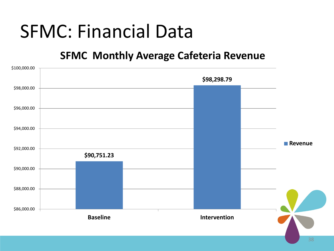## SFMC: Financial Data

#### **SFMC Monthly Average Cafeteria Revenue**

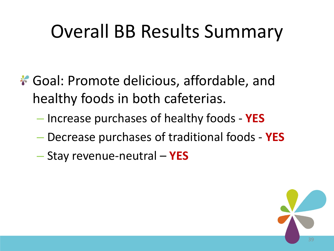# Overall BB Results Summary

- \* Goal: Promote delicious, affordable, and healthy foods in both cafeterias.
	- Increase purchases of healthy foods **YES**
	- Decrease purchases of traditional foods **YES**
	- Stay revenue-neutral **YES**

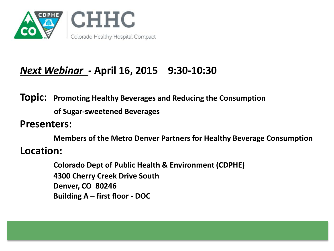

### *Next Webinar* **- April 16, 2015 9:30-10:30**

**Topic: Promoting Healthy Beverages and Reducing the Consumption of Sugar-sweetened Beverages**

**Presenters:**

**Members of the Metro Denver Partners for Healthy Beverage Consumption Location:**

> **Colorado Dept of Public Health & Environment (CDPHE) 4300 Cherry Creek Drive South Denver, CO 80246 Building A – first floor - DOC**